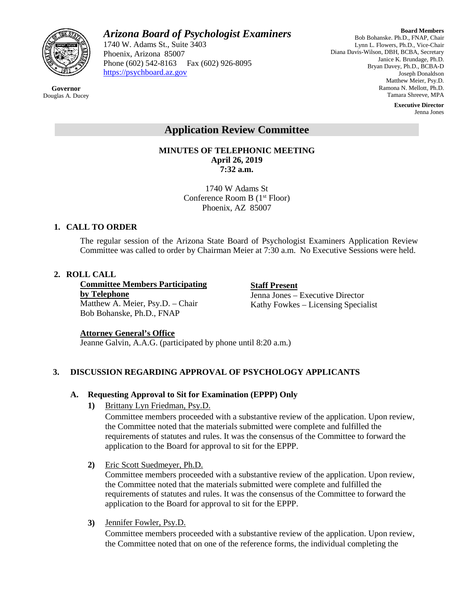

**Governor** Douglas A. Ducey *Arizona Board of Psychologist Examiners*

1740 W. Adams St., Suite 3403 Phoenix, Arizona 85007 Phone (602) 542-8163 Fax (602) 926-8095 [https://psychboard.az.gov](https://psychboard.az.gov/) 

**Board Members** Bob Bohanske. Ph.D., FNAP, Chair Lynn L. Flowers, Ph.D., Vice-Chair Diana Davis-Wilson, DBH, BCBA, Secretary Janice K. Brundage, Ph.D. Bryan Davey, Ph.D., BCBA-D Joseph Donaldson Matthew Meier, Psy.D. Ramona N. Mellott, Ph.D. Tamara Shreeve, MPA

> **Executive Director** Jenna Jones

# **Application Review Committee**

**MINUTES OF TELEPHONIC MEETING April 26, 2019 7:32 a.m.**

> 1740 W Adams St Conference Room B (1st Floor) Phoenix, AZ 85007

# **1. CALL TO ORDER**

The regular session of the Arizona State Board of Psychologist Examiners Application Review Committee was called to order by Chairman Meier at 7:30 a.m. No Executive Sessions were held.

# **2. ROLL CALL**

**Committee Members Participating by Telephone** Matthew A. Meier, Psy.D. – Chair Bob Bohanske, Ph.D., FNAP

**Staff Present** Jenna Jones – Executive Director Kathy Fowkes – Licensing Specialist

# **Attorney General's Office**

Jeanne Galvin, A.A.G. (participated by phone until 8:20 a.m.)

# **3. DISCUSSION REGARDING APPROVAL OF PSYCHOLOGY APPLICANTS**

# **A. Requesting Approval to Sit for Examination (EPPP) Only**

**1)** Brittany Lyn Friedman, Psy.D.

Committee members proceeded with a substantive review of the application. Upon review, the Committee noted that the materials submitted were complete and fulfilled the requirements of statutes and rules. It was the consensus of the Committee to forward the application to the Board for approval to sit for the EPPP.

**2)** Eric Scott Suedmeyer, Ph.D.

Committee members proceeded with a substantive review of the application. Upon review, the Committee noted that the materials submitted were complete and fulfilled the requirements of statutes and rules. It was the consensus of the Committee to forward the application to the Board for approval to sit for the EPPP.

**3)** Jennifer Fowler, Psy.D.

Committee members proceeded with a substantive review of the application. Upon review, the Committee noted that on one of the reference forms, the individual completing the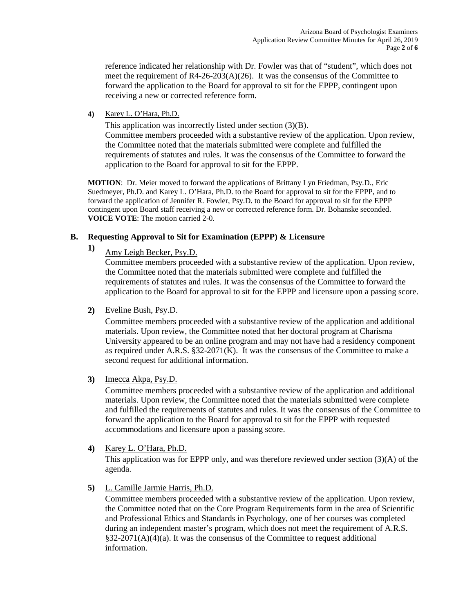reference indicated her relationship with Dr. Fowler was that of "student", which does not meet the requirement of  $R4-26-203(A)(26)$ . It was the consensus of the Committee to forward the application to the Board for approval to sit for the EPPP, contingent upon receiving a new or corrected reference form.

**4)** Karey L. O'Hara, Ph.D.

This application was incorrectly listed under section (3)(B). Committee members proceeded with a substantive review of the application. Upon review, the Committee noted that the materials submitted were complete and fulfilled the requirements of statutes and rules. It was the consensus of the Committee to forward the application to the Board for approval to sit for the EPPP.

**MOTION**: Dr. Meier moved to forward the applications of Brittany Lyn Friedman, Psy.D., Eric Suedmeyer, Ph.D. and Karey L. O'Hara, Ph.D. to the Board for approval to sit for the EPPP, and to forward the application of Jennifer R. Fowler, Psy.D. to the Board for approval to sit for the EPPP contingent upon Board staff receiving a new or corrected reference form. Dr. Bohanske seconded. **VOICE VOTE**: The motion carried 2-0.

## **B. Requesting Approval to Sit for Examination (EPPP) & Licensure**

**1)** Amy Leigh Becker, Psy.D.

Committee members proceeded with a substantive review of the application. Upon review, the Committee noted that the materials submitted were complete and fulfilled the requirements of statutes and rules. It was the consensus of the Committee to forward the application to the Board for approval to sit for the EPPP and licensure upon a passing score.

**2)** Eveline Bush, Psy.D.

Committee members proceeded with a substantive review of the application and additional materials. Upon review, the Committee noted that her doctoral program at Charisma University appeared to be an online program and may not have had a residency component as required under A.R.S.  $\S32-2071(K)$ . It was the consensus of the Committee to make a second request for additional information.

**3)** Imecca Akpa, Psy.D.

Committee members proceeded with a substantive review of the application and additional materials. Upon review, the Committee noted that the materials submitted were complete and fulfilled the requirements of statutes and rules. It was the consensus of the Committee to forward the application to the Board for approval to sit for the EPPP with requested accommodations and licensure upon a passing score.

**4)** Karey L. O'Hara, Ph.D.

This application was for EPPP only, and was therefore reviewed under section (3)(A) of the agenda.

**5)** L. Camille Jarmie Harris, Ph.D.

Committee members proceeded with a substantive review of the application. Upon review, the Committee noted that on the Core Program Requirements form in the area of Scientific and Professional Ethics and Standards in Psychology, one of her courses was completed during an independent master's program, which does not meet the requirement of A.R.S.  $§32-2071(A)(4)(a)$ . It was the consensus of the Committee to request additional information.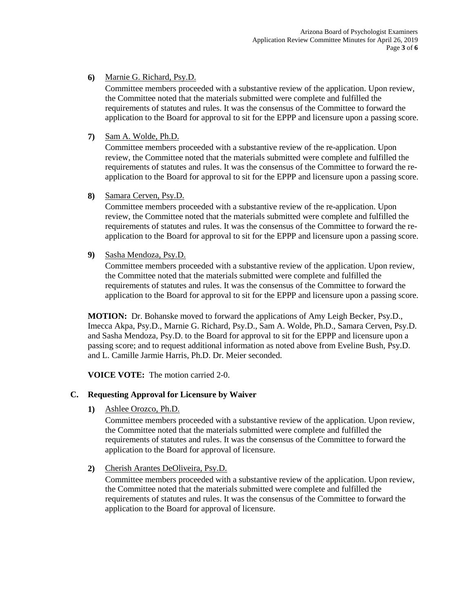**6)** Marnie G. Richard, Psy.D.

Committee members proceeded with a substantive review of the application. Upon review, the Committee noted that the materials submitted were complete and fulfilled the requirements of statutes and rules. It was the consensus of the Committee to forward the application to the Board for approval to sit for the EPPP and licensure upon a passing score.

**7)** Sam A. Wolde, Ph.D.

Committee members proceeded with a substantive review of the re-application. Upon review, the Committee noted that the materials submitted were complete and fulfilled the requirements of statutes and rules. It was the consensus of the Committee to forward the reapplication to the Board for approval to sit for the EPPP and licensure upon a passing score.

**8)** Samara Cerven, Psy.D.

Committee members proceeded with a substantive review of the re-application. Upon review, the Committee noted that the materials submitted were complete and fulfilled the requirements of statutes and rules. It was the consensus of the Committee to forward the reapplication to the Board for approval to sit for the EPPP and licensure upon a passing score.

**9)** Sasha Mendoza, Psy.D.

Committee members proceeded with a substantive review of the application. Upon review, the Committee noted that the materials submitted were complete and fulfilled the requirements of statutes and rules. It was the consensus of the Committee to forward the application to the Board for approval to sit for the EPPP and licensure upon a passing score.

**MOTION:** Dr. Bohanske moved to forward the applications of Amy Leigh Becker, Psy.D., Imecca Akpa, Psy.D., Marnie G. Richard, Psy.D., Sam A. Wolde, Ph.D., Samara Cerven, Psy.D. and Sasha Mendoza, Psy.D. to the Board for approval to sit for the EPPP and licensure upon a passing score; and to request additional information as noted above from Eveline Bush, Psy.D. and L. Camille Jarmie Harris, Ph.D. Dr. Meier seconded.

**VOICE VOTE:** The motion carried 2-0.

#### **C. Requesting Approval for Licensure by Waiver**

**1)** Ashlee Orozco, Ph.D.

Committee members proceeded with a substantive review of the application. Upon review, the Committee noted that the materials submitted were complete and fulfilled the requirements of statutes and rules. It was the consensus of the Committee to forward the application to the Board for approval of licensure.

**2)** Cherish Arantes DeOliveira, Psy.D.

Committee members proceeded with a substantive review of the application. Upon review, the Committee noted that the materials submitted were complete and fulfilled the requirements of statutes and rules. It was the consensus of the Committee to forward the application to the Board for approval of licensure.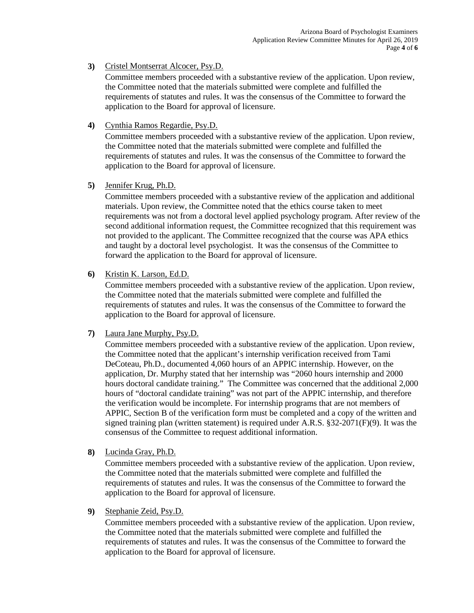## **3)** Cristel Montserrat Alcocer, Psy.D.

Committee members proceeded with a substantive review of the application. Upon review, the Committee noted that the materials submitted were complete and fulfilled the requirements of statutes and rules. It was the consensus of the Committee to forward the application to the Board for approval of licensure.

**4)** Cynthia Ramos Regardie, Psy.D.

Committee members proceeded with a substantive review of the application. Upon review, the Committee noted that the materials submitted were complete and fulfilled the requirements of statutes and rules. It was the consensus of the Committee to forward the application to the Board for approval of licensure.

# **5)** Jennifer Krug, Ph.D.

Committee members proceeded with a substantive review of the application and additional materials. Upon review, the Committee noted that the ethics course taken to meet requirements was not from a doctoral level applied psychology program. After review of the second additional information request, the Committee recognized that this requirement was not provided to the applicant. The Committee recognized that the course was APA ethics and taught by a doctoral level psychologist. It was the consensus of the Committee to forward the application to the Board for approval of licensure.

**6)** Kristin K. Larson, Ed.D.

Committee members proceeded with a substantive review of the application. Upon review, the Committee noted that the materials submitted were complete and fulfilled the requirements of statutes and rules. It was the consensus of the Committee to forward the application to the Board for approval of licensure.

**7)** Laura Jane Murphy, Psy.D.

Committee members proceeded with a substantive review of the application. Upon review, the Committee noted that the applicant's internship verification received from Tami DeCoteau, Ph.D., documented 4,060 hours of an APPIC internship. However, on the application, Dr. Murphy stated that her internship was "2060 hours internship and 2000 hours doctoral candidate training." The Committee was concerned that the additional 2,000 hours of "doctoral candidate training" was not part of the APPIC internship, and therefore the verification would be incomplete. For internship programs that are not members of APPIC, Section B of the verification form must be completed and a copy of the written and signed training plan (written statement) is required under A.R.S.  $\S 32-2071(F)(9)$ . It was the consensus of the Committee to request additional information.

**8)** Lucinda Gray, Ph.D.

Committee members proceeded with a substantive review of the application. Upon review, the Committee noted that the materials submitted were complete and fulfilled the requirements of statutes and rules. It was the consensus of the Committee to forward the application to the Board for approval of licensure.

**9)** Stephanie Zeid, Psy.D.

Committee members proceeded with a substantive review of the application. Upon review, the Committee noted that the materials submitted were complete and fulfilled the requirements of statutes and rules. It was the consensus of the Committee to forward the application to the Board for approval of licensure.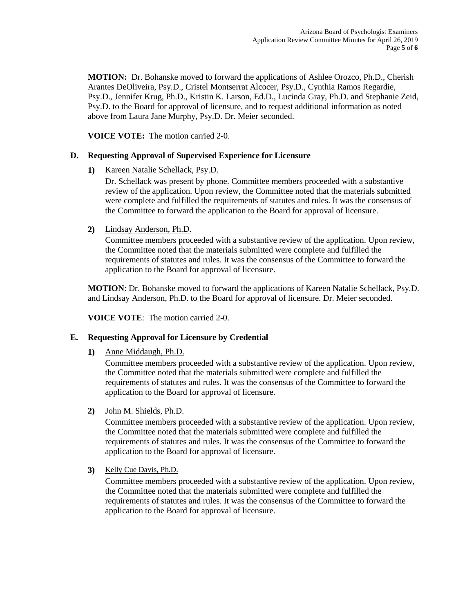**MOTION:** Dr. Bohanske moved to forward the applications of Ashlee Orozco, Ph.D., Cherish Arantes DeOliveira, Psy.D., Cristel Montserrat Alcocer, Psy.D., Cynthia Ramos Regardie, Psy.D., Jennifer Krug, Ph.D., Kristin K. Larson, Ed.D., Lucinda Gray, Ph.D. and Stephanie Zeid, Psy.D. to the Board for approval of licensure, and to request additional information as noted above from Laura Jane Murphy, Psy.D. Dr. Meier seconded.

**VOICE VOTE:** The motion carried 2-0.

## **D. Requesting Approval of Supervised Experience for Licensure**

**1)** Kareen Natalie Schellack, Psy.D.

Dr. Schellack was present by phone. Committee members proceeded with a substantive review of the application. Upon review, the Committee noted that the materials submitted were complete and fulfilled the requirements of statutes and rules. It was the consensus of the Committee to forward the application to the Board for approval of licensure.

**2)** Lindsay Anderson, Ph.D.

Committee members proceeded with a substantive review of the application. Upon review, the Committee noted that the materials submitted were complete and fulfilled the requirements of statutes and rules. It was the consensus of the Committee to forward the application to the Board for approval of licensure.

**MOTION**: Dr. Bohanske moved to forward the applications of Kareen Natalie Schellack, Psy.D. and Lindsay Anderson, Ph.D. to the Board for approval of licensure. Dr. Meier seconded.

**VOICE VOTE**: The motion carried 2-0.

#### **E. Requesting Approval for Licensure by Credential**

**1)** Anne Middaugh, Ph.D.

Committee members proceeded with a substantive review of the application. Upon review, the Committee noted that the materials submitted were complete and fulfilled the requirements of statutes and rules. It was the consensus of the Committee to forward the application to the Board for approval of licensure.

**2)** John M. Shields, Ph.D.

Committee members proceeded with a substantive review of the application. Upon review, the Committee noted that the materials submitted were complete and fulfilled the requirements of statutes and rules. It was the consensus of the Committee to forward the application to the Board for approval of licensure.

**3)** Kelly Cue Davis, Ph.D.

Committee members proceeded with a substantive review of the application. Upon review, the Committee noted that the materials submitted were complete and fulfilled the requirements of statutes and rules. It was the consensus of the Committee to forward the application to the Board for approval of licensure.